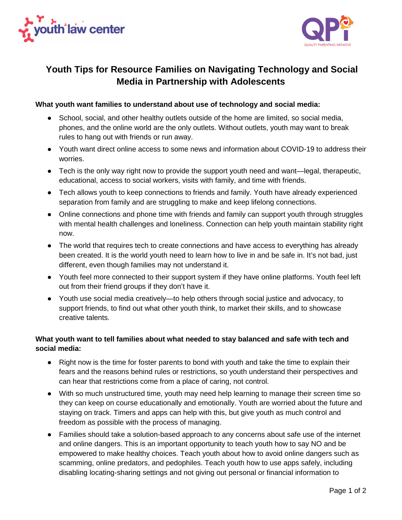



## **Youth Tips for Resource Families on Navigating Technology and Social Media in Partnership with Adolescents**

## **What youth want families to understand about use of technology and social media:**

- School, social, and other healthy outlets outside of the home are limited, so social media, phones, and the online world are the only outlets. Without outlets, youth may want to break rules to hang out with friends or run away.
- Youth want direct online access to some news and information about COVID-19 to address their worries.
- Tech is the only way right now to provide the support youth need and want—legal, therapeutic, educational, access to social workers, visits with family, and time with friends.
- Tech allows youth to keep connections to friends and family. Youth have already experienced separation from family and are struggling to make and keep lifelong connections.
- Online connections and phone time with friends and family can support youth through struggles with mental health challenges and loneliness. Connection can help youth maintain stability right now.
- The world that requires tech to create connections and have access to everything has already been created. It is the world youth need to learn how to live in and be safe in. It's not bad, just different, even though families may not understand it.
- Youth feel more connected to their support system if they have online platforms. Youth feel left out from their friend groups if they don't have it.
- Youth use social media creatively—to help others through social justice and advocacy, to support friends, to find out what other youth think, to market their skills, and to showcase creative talents.

## **What youth want to tell families about what needed to stay balanced and safe with tech and social media:**

- Right now is the time for foster parents to bond with youth and take the time to explain their fears and the reasons behind rules or restrictions, so youth understand their perspectives and can hear that restrictions come from a place of caring, not control.
- With so much unstructured time, youth may need help learning to manage their screen time so they can keep on course educationally and emotionally. Youth are worried about the future and staying on track. Timers and apps can help with this, but give youth as much control and freedom as possible with the process of managing.
- Families should take a solution-based approach to any concerns about safe use of the internet and online dangers. This is an important opportunity to teach youth how to say NO and be empowered to make healthy choices. Teach youth about how to avoid online dangers such as scamming, online predators, and pedophiles. Teach youth how to use apps safely, including disabling locating-sharing settings and not giving out personal or financial information to